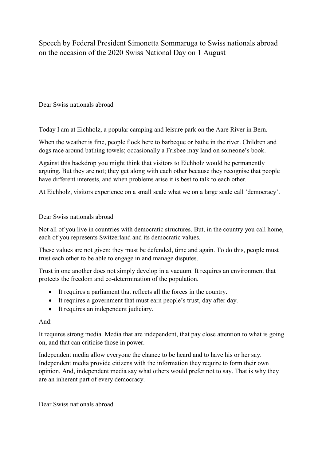Speech by Federal President Simonetta Sommaruga to Swiss nationals abroad on the occasion of the 2020 Swiss National Day on 1 August

Dear Swiss nationals abroad

Today I am at Eichholz, a popular camping and leisure park on the Aare River in Bern.

When the weather is fine, people flock here to barbeque or bathe in the river. Children and dogs race around bathing towels; occasionally a Frisbee may land on someone's book.

Against this backdrop you might think that visitors to Eichholz would be permanently arguing. But they are not; they get along with each other because they recognise that people have different interests, and when problems arise it is best to talk to each other.

At Eichholz, visitors experience on a small scale what we on a large scale call 'democracy'.

## Dear Swiss nationals abroad

Not all of you live in countries with democratic structures. But, in the country you call home, each of you represents Switzerland and its democratic values.

These values are not given: they must be defended, time and again. To do this, people must trust each other to be able to engage in and manage disputes.

Trust in one another does not simply develop in a vacuum. It requires an environment that protects the freedom and co-determination of the population.

- It requires a parliament that reflects all the forces in the country.
- It requires a government that must earn people's trust, day after day.
- It requires an independent judiciary.

## And:

It requires strong media. Media that are independent, that pay close attention to what is going on, and that can criticise those in power.

Independent media allow everyone the chance to be heard and to have his or her say. Independent media provide citizens with the information they require to form their own opinion. And, independent media say what others would prefer not to say. That is why they are an inherent part of every democracy.

Dear Swiss nationals abroad